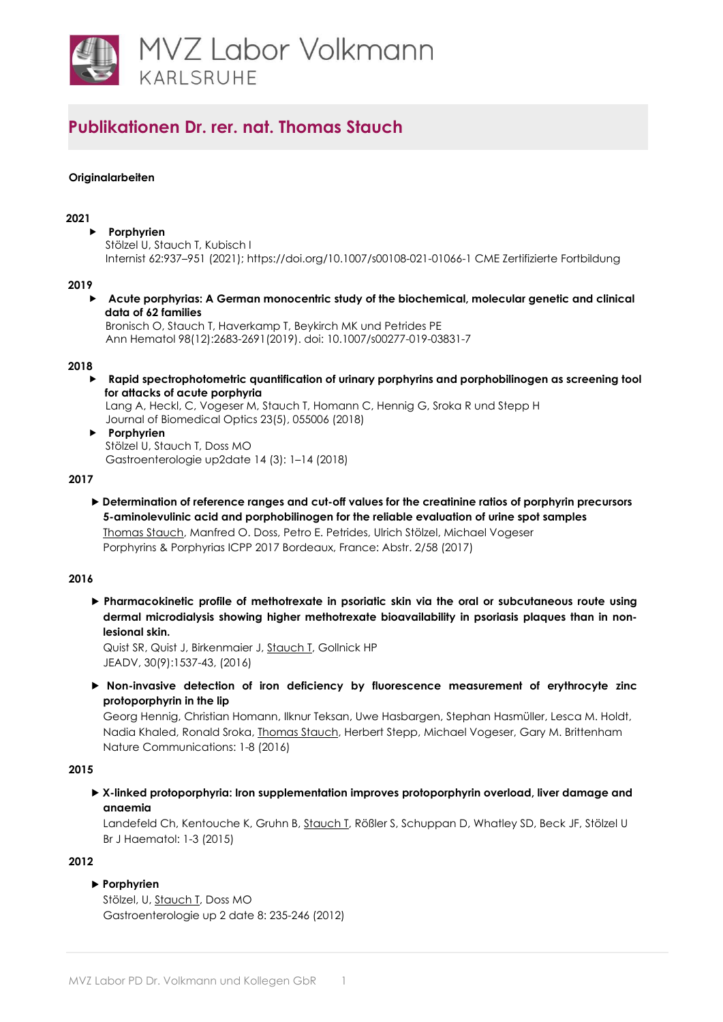

## **Originalarbeiten**

### **2021**

 **Porphyrien**  Stölzel U, Stauch T, Kubisch I Internist 62:937–951 (2021); https://doi.org/10.1007/s00108-021-01066-1 CME Zertifizierte Fortbildung

#### **2019**

 **Acute porphyrias: A German monocentric study of the biochemical, molecular genetic and clinical data of 62 families** 

Bronisch O, Stauch T, Haverkamp T, Beykirch MK und Petrides PE Ann Hematol 98(12):2683-2691(2019). doi: 10.1007/s00277-019-03831-7

#### **2018**

 **Rapid spectrophotometric quantification of urinary porphyrins and porphobilinogen as screening tool for attacks of acute porphyria** 

Lang A, Heckl, C, Vogeser M, Stauch T, Homann C, Hennig G, Sroka R und Stepp H Journal of Biomedical Optics 23(5), 055006 (2018)

 **Porphyrien**  Stölzel U, Stauch T, Doss MO Gastroenterologie up2date 14 (3): 1–14 (2018)

### **2017**

 **Determination of reference ranges and cut-off values for the creatinine ratios of porphyrin precursors 5-aminolevulinic acid and porphobilinogen for the reliable evaluation of urine spot samples** Thomas Stauch, Manfred O. Doss, Petro E. Petrides, Ulrich Stölzel, Michael Vogeser Porphyrins & Porphyrias ICPP 2017 Bordeaux, France: Abstr. 2/58 (2017)

### **2016**

 **Pharmacokinetic profile of methotrexate in psoriatic skin via the oral or subcutaneous route using dermal microdialysis showing higher methotrexate bioavailability in psoriasis plaques than in nonlesional skin.**

[Quist SR,](https://www.ncbi.nlm.nih.gov/pubmed/?term=Quist%20SR%5BAuthor%5D&cauthor=true&cauthor_uid=27005005) [Quist J,](https://www.ncbi.nlm.nih.gov/pubmed/?term=Quist%20J%5BAuthor%5D&cauthor=true&cauthor_uid=27005005) [Birkenmaier J,](https://www.ncbi.nlm.nih.gov/pubmed/?term=Birkenmaier%20J%5BAuthor%5D&cauthor=true&cauthor_uid=27005005) [Stauch T,](https://www.ncbi.nlm.nih.gov/pubmed/?term=Stauch%20T%5BAuthor%5D&cauthor=true&cauthor_uid=27005005) [Gollnick HP](https://www.ncbi.nlm.nih.gov/pubmed/?term=Gollnick%20HP%5BAuthor%5D&cauthor=true&cauthor_uid=27005005) JEADV, 30(9):1537-43, (2016)

 **Non-invasive detection of iron deficiency by fluorescence measurement of erythrocyte zinc protoporphyrin in the lip**

Georg Hennig, Christian Homann, Ilknur Teksan, Uwe Hasbargen, Stephan Hasmüller, Lesca M. Holdt, Nadia Khaled, Ronald Sroka, Thomas Stauch, Herbert Stepp, Michael Vogeser, Gary M. Brittenham Nature Communications: 1-8 (2016)

#### **2015**

 **X-linked protoporphyria: Iron supplementation improves protoporphyrin overload, liver damage and anaemia**

Landefeld Ch, Kentouche K, Gruhn B, Stauch I, Rößler S, Schuppan D, Whatley SD, Beck JF, Stölzel U [Br J Haematol: 1](http://www.ncbi.nlm.nih.gov/pubmed/?term=X-linked%2Bprotoporphyria%3A%2BIron%2Bsupplementation%2Bimproves%2Bprotoporphyrin%2Boverload%2C%2Bliver%2Bdamage%2Band%2Banaemia)-3 (2015)

#### **2012**

## **Porphyrien**

Stölzel, U, Stauch T, Doss MO Gastroenterologie up 2 date 8: 235-246 (2012)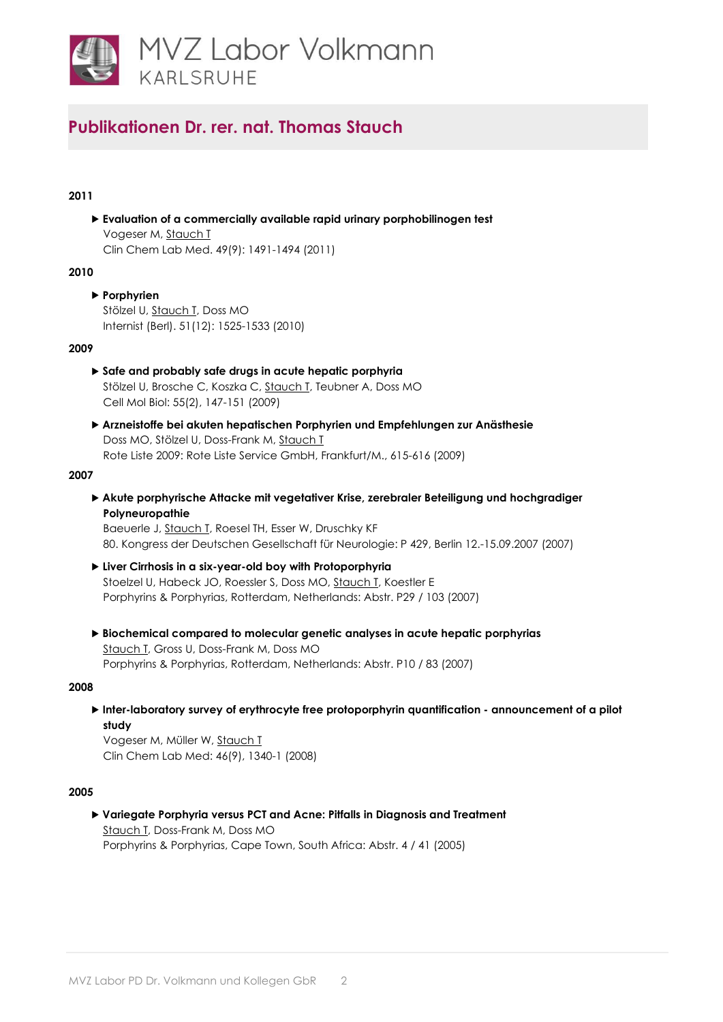

# **2011**

 **Evaluation of a commercially available rapid urinary porphobilinogen test** Vogeser M, [Stauch T](http://www.ncbi.nlm.nih.gov/pubmed/21627493) Clin Chem Lab Med. 49(9): 1491-1494 (2011)

#### **2010**

 **Porphyrien** Stölzel U, Stauch I, Doss MO Internist (Berl). 51(12): 1525-1533 (2010)

## **2009**

- **Safe and probably safe drugs in acute hepatic porphyria**  Stölzel U, Brosche C, Koszka C, [Stauch T, T](http://www.ncbi.nlm.nih.gov/pubmed/19656463)eubner A, Doss MO Cell Mol Biol: 55(2), 147-151 (2009)
- **Arzneistoffe bei akuten hepatischen Porphyrien und Empfehlungen zur Anästhesie** Doss MO, Stölzel U, Doss-Frank M, Stauch T Rote Liste 2009: Rote Liste Service GmbH, Frankfurt/M., 615-616 (2009)

## **2007**

 **Akute porphyrische Attacke mit vegetativer Krise, zerebraler Beteiligung und hochgradiger Polyneuropathie**

Baeuerle J, Stauch T, Roesel TH, Esser W, Druschky KF 80. Kongress der Deutschen Gesellschaft für Neurologie: P 429, Berlin 12.-15.09.2007 (2007)

- **Liver Cirrhosis in a six-year-old boy with Protoporphyria** Stoelzel U, Habeck JO, Roessler S, Doss MO, Stauch T, Koestler E Porphyrins & Porphyrias, Rotterdam, Netherlands: Abstr. P29 / 103 (2007)
- **Biochemical compared to molecular genetic analyses in acute hepatic porphyrias** Stauch T, Gross U, Doss-Frank M, Doss MO Porphyrins & Porphyrias, Rotterdam, Netherlands: Abstr. P10 / 83 (2007)

## **2008**

 **Inter-laboratory survey of erythrocyte free protoporphyrin quantification - announcement of a pilot study**

Vogeser M, Müller W, [Stauch T](http://www.ncbi.nlm.nih.gov/pubmed/18785875) Clin Chem Lab Med: 46(9), 1340-1 (2008)

## **2005**

 **Variegate Porphyria versus PCT and Acne: Pitfalls in Diagnosis and Treatment** Stauch T, Doss-Frank M, Doss MO Porphyrins & Porphyrias, Cape Town, South Africa: Abstr. 4 / 41 (2005)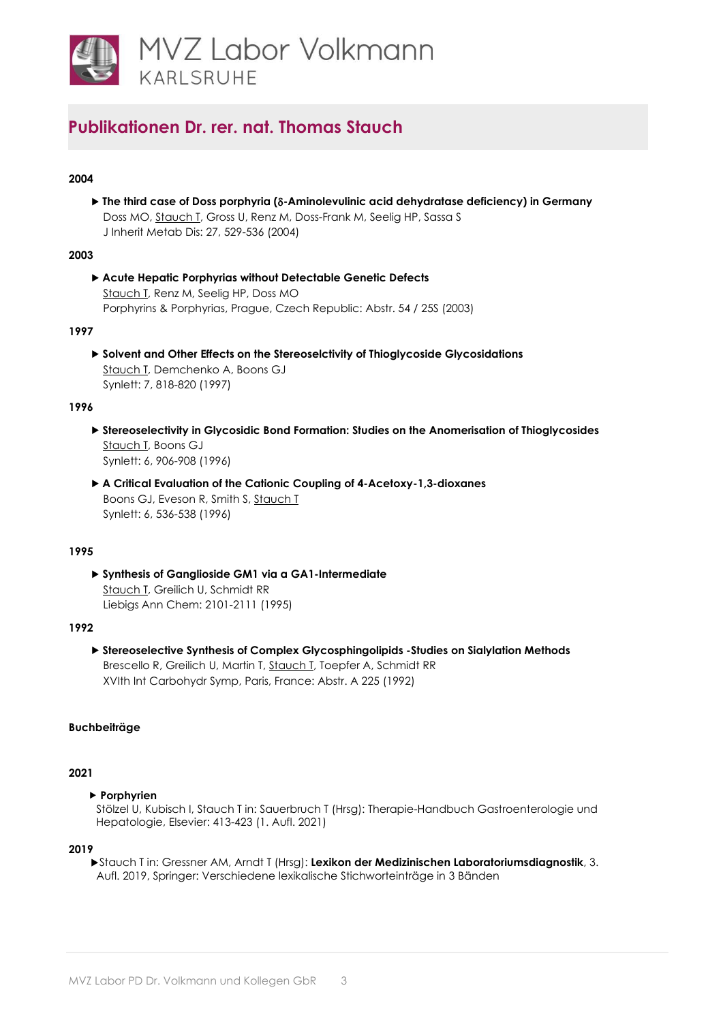

# **2004**

 **The third case of Doss porphyria (**δ**-Aminolevulinic acid dehydratase deficiency) in Germany** Doss MO, Stauch I, Gross U, Renz M, Doss-Frank M, Seelig HP, Sassa S J Inherit Metab Dis: 27, 529-536 (2004)

## **2003**

 **Acute Hepatic Porphyrias without Detectable Genetic Defects** Stauch T, Renz M, Seelig HP, Doss MO Porphyrins & Porphyrias, Prague, Czech Republic: Abstr. 54 / 25S (2003)

## **1997**

 **Solvent and Other Effects on the Stereoselctivity of Thioglycoside Glycosidations** Stauch T, Demchenko A, Boons GJ Synlett: 7, 818-820 (1997)

## **1996**

- **Stereoselectivity in Glycosidic Bond Formation: Studies on the Anomerisation of Thioglycosides** Stauch T, Boons GJ Synlett: 6, 906-908 (1996)
- **A Critical Evaluation of the Cationic Coupling of 4-Acetoxy-1,3-dioxanes** Boons GJ, Eveson R, Smith S, Stauch T Synlett: 6, 536-538 (1996)

## **1995**

 **Synthesis of Ganglioside GM1 via a GA1-Intermediate** Stauch T, Greilich U, Schmidt RR Liebigs Ann Chem: 2101-2111 (1995)

## **1992**

 **Stereoselective Synthesis of Complex Glycosphingolipids -Studies on Sialylation Methods** Brescello R, Greilich U, Martin T, Stauch T, Toepfer A, Schmidt RR XVIth Int Carbohydr Symp, Paris, France: Abstr. A 225 (1992)

## **Buchbeiträge**

## **2021**

## **Porphyrien**

Stölzel U, Kubisch I, Stauch T in: Sauerbruch T (Hrsg): Therapie-Handbuch Gastroenterologie und Hepatologie, Elsevier: 413-423 (1. Aufl. 2021)

#### **2019**

 Stauch T in: Gressner AM, Arndt T (Hrsg): **Lexikon der Medizinischen Laboratoriumsdiagnostik**, 3. Aufl. 2019, Springer: Verschiedene lexikalische Stichworteinträge in 3 Bänden